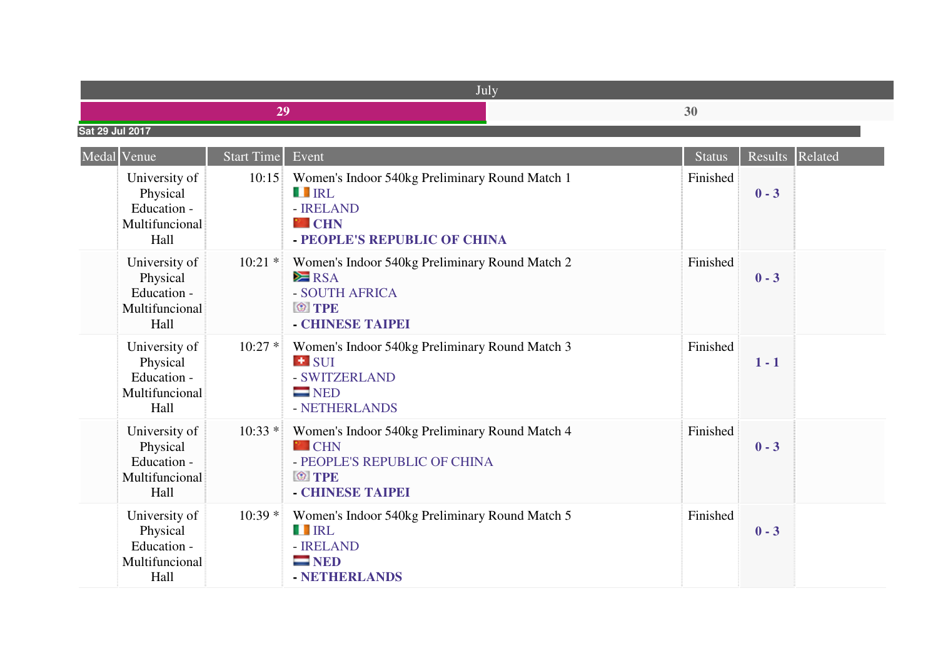|                 | IJυ |
|-----------------|-----|
| Sat 29 Jul 2017 |     |

| Medal Venue                                                        | <b>Start Time</b> | Event                                                                                                                              | <b>Status</b> | <b>Results</b> | Related |
|--------------------------------------------------------------------|-------------------|------------------------------------------------------------------------------------------------------------------------------------|---------------|----------------|---------|
| University of<br>Physical<br>Education -<br>Multifuncional<br>Hall | 10:15             | Women's Indoor 540kg Preliminary Round Match 1<br><b>THERE</b><br>- <b>IRELAND</b><br><b>P</b> CHN<br>- PEOPLE'S REPUBLIC OF CHINA | Finished      | $0 - 3$        |         |
| University of<br>Physical<br>Education -<br>Multifuncional<br>Hall | $10:21$ *         | Women's Indoor 540kg Preliminary Round Match 2<br>$\geq$ RSA<br>- SOUTH AFRICA<br><b>O</b> TPE<br>- CHINESE TAIPEI                 | Finished      | $0 - 3$        |         |
| University of<br>Physical<br>Education -<br>Multifuncional<br>Hall | $10:27*$          | Women's Indoor 540kg Preliminary Round Match 3<br><b>E</b> SUI<br>- SWITZERLAND<br>$\blacksquare$ NED<br>- NETHERLANDS             | Finished      | $1 - 1$        |         |
| University of<br>Physical<br>Education -<br>Multifuncional<br>Hall | $10:33*$          | Women's Indoor 540kg Preliminary Round Match 4<br><b>P</b> CHN<br>- PEOPLE'S REPUBLIC OF CHINA<br><b>O</b> TPE<br>- CHINESE TAIPEI | Finished      | $0 - 3$        |         |
| University of<br>Physical<br>Education -<br>Multifuncional<br>Hall | $10:39*$          | Women's Indoor 540kg Preliminary Round Match 5<br><b>TERL</b><br>- <b>IRELAND</b><br>$\blacksquare$ NED<br>- NETHERLANDS           | Finished      | $0 - 3$        |         |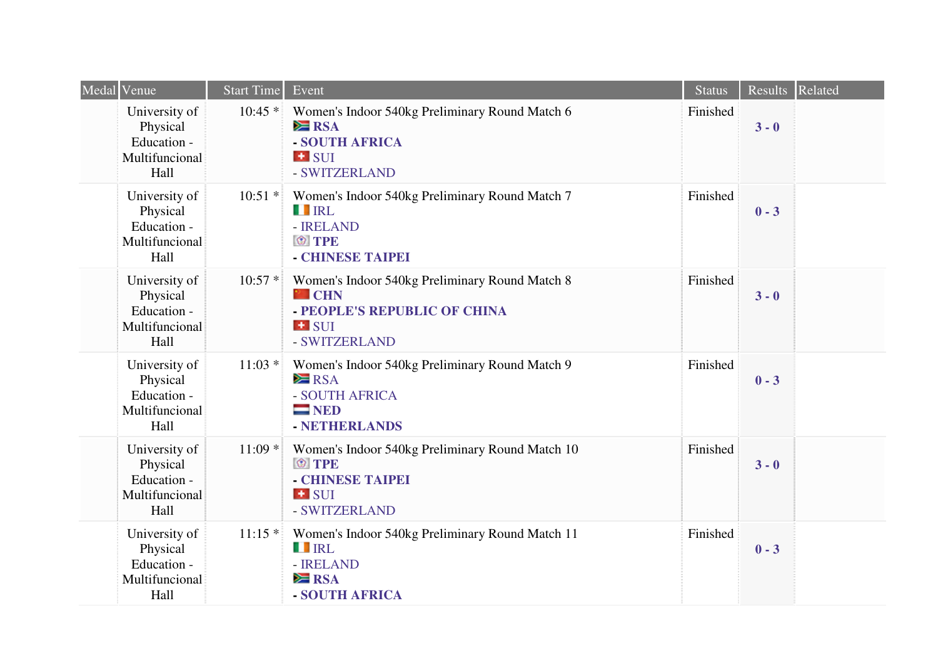| Medal Venue                                                        | <b>Start Time</b> | Event                                                                                                                               | Status   | Results Related |  |
|--------------------------------------------------------------------|-------------------|-------------------------------------------------------------------------------------------------------------------------------------|----------|-----------------|--|
| University of<br>Physical<br>Education -<br>Multifuncional<br>Hall | $10:45*$          | Women's Indoor 540kg Preliminary Round Match 6<br>$\geq$ RSA<br>- SOUTH AFRICA<br><b>E</b> SUI<br>- SWITZERLAND                     | Finished | $3 - 0$         |  |
| University of<br>Physical<br>Education -<br>Multifuncional<br>Hall | $10:51$ *         | Women's Indoor 540kg Preliminary Round Match 7<br><b>TERL</b><br>- <b>IRELAND</b><br><b>O</b> TPE<br>- CHINESE TAIPEI               | Finished | $0 - 3$         |  |
| University of<br>Physical<br>Education -<br>Multifuncional<br>Hall | $10:57*$          | Women's Indoor 540kg Preliminary Round Match 8<br><sup>2</sup> CHN<br>- PEOPLE'S REPUBLIC OF CHINA<br><b>E</b> SUI<br>- SWITZERLAND | Finished | $3 - 0$         |  |
| University of<br>Physical<br>Education -<br>Multifuncional<br>Hall | $11:03*$          | Women's Indoor 540kg Preliminary Round Match 9<br>$\geq$ RSA<br>- SOUTH AFRICA<br>$=$ NED<br>- NETHERLANDS                          | Finished | $0 - 3$         |  |
| University of<br>Physical<br>Education -<br>Multifuncional<br>Hall | $11:09*$          | Women's Indoor 540kg Preliminary Round Match 10<br><b>O</b> TPE<br>- CHINESE TAIPEI<br><b>E</b> SUI<br>- SWITZERLAND                | Finished | $3 - 0$         |  |
| University of<br>Physical<br>Education -<br>Multifuncional<br>Hall | $11:15*$          | Women's Indoor 540kg Preliminary Round Match 11<br><b>THE IRL</b><br>- <b>IRELAND</b><br>$\geq$ RSA<br>- SOUTH AFRICA               | Finished | $0 - 3$         |  |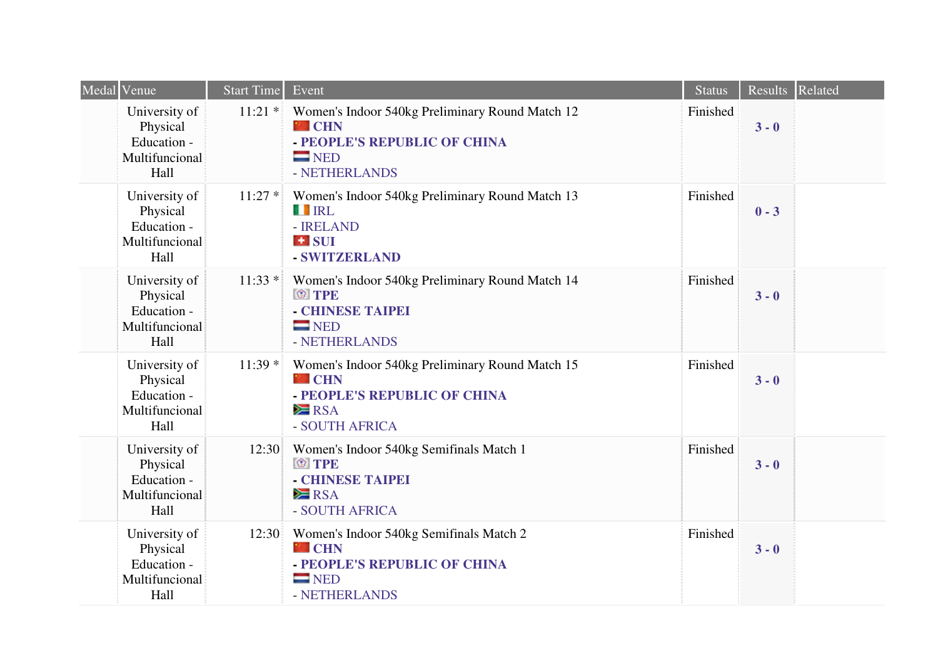| Medal Venue                                                        | Start Time | Event                                                                                                                                  | Status   | Results Related |  |
|--------------------------------------------------------------------|------------|----------------------------------------------------------------------------------------------------------------------------------------|----------|-----------------|--|
| University of<br>Physical<br>Education -<br>Multifuncional<br>Hall | $11:21$ *  | Women's Indoor 540kg Preliminary Round Match 12<br><b>P</b> CHN<br>- PEOPLE'S REPUBLIC OF CHINA<br>$\blacksquare$ NED<br>- NETHERLANDS | Finished | $3 - 0$         |  |
| University of<br>Physical<br>Education -<br>Multifuncional<br>Hall | $11:27*$   | Women's Indoor 540kg Preliminary Round Match 13<br><b>TERL</b><br>- <b>IRELAND</b><br>$\blacksquare$ SUI<br>- SWITZERLAND              | Finished | $0 - 3$         |  |
| University of<br>Physical<br>Education -<br>Multifuncional<br>Hall | $11:33*$   | Women's Indoor 540kg Preliminary Round Match 14<br><b>O</b> TPE<br>- CHINESE TAIPEI<br>$\blacksquare$ NED<br>- NETHERLANDS             | Finished | $3 - 0$         |  |
| University of<br>Physical<br>Education -<br>Multifuncional<br>Hall | $11:39*$   | Women's Indoor 540kg Preliminary Round Match 15<br><sup>2</sup> CHN<br>- PEOPLE'S REPUBLIC OF CHINA<br>$\geq$ RSA<br>- SOUTH AFRICA    | Finished | $3 - 0$         |  |
| University of<br>Physical<br>Education -<br>Multifuncional<br>Hall | 12:30      | Women's Indoor 540kg Semifinals Match 1<br><b>O</b> TPE<br>- CHINESE TAIPEI<br>$\geq$ RSA<br>- SOUTH AFRICA                            | Finished | $3 - 0$         |  |
| University of<br>Physical<br>Education -<br>Multifuncional<br>Hall | 12:30      | Women's Indoor 540kg Semifinals Match 2<br><b>P</b> CHN<br>- PEOPLE'S REPUBLIC OF CHINA<br>$\blacksquare$ NED<br>- NETHERLANDS         | Finished | $3 - 0$         |  |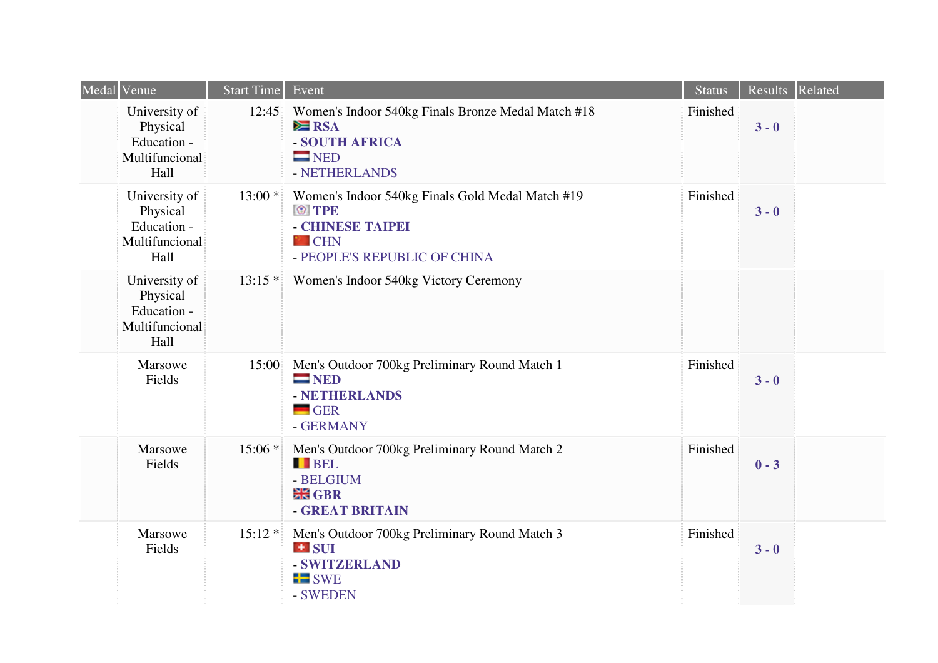| Medal | Venue                                                              | <b>Start Time</b> | Event                                                                                                                                | <b>Status</b> | Results Related |  |
|-------|--------------------------------------------------------------------|-------------------|--------------------------------------------------------------------------------------------------------------------------------------|---------------|-----------------|--|
|       | University of<br>Physical<br>Education -<br>Multifuncional<br>Hall | 12:45             | Women's Indoor 540kg Finals Bronze Medal Match #18<br>$\geq$ RSA<br>- SOUTH AFRICA<br>$\blacksquare$ NED<br>- NETHERLANDS            | Finished      | $3 - 0$         |  |
|       | University of<br>Physical<br>Education -<br>Multifuncional<br>Hall | $13:00*$          | Women's Indoor 540kg Finals Gold Medal Match #19<br><b>O</b> TPE<br>- CHINESE TAIPEI<br><b>P</b> CHN<br>- PEOPLE'S REPUBLIC OF CHINA | Finished      | $3 - 0$         |  |
|       | University of<br>Physical<br>Education -<br>Multifuncional<br>Hall | $13:15*$          | Women's Indoor 540kg Victory Ceremony                                                                                                |               |                 |  |
|       | Marsowe<br>Fields                                                  | 15:00             | Men's Outdoor 700kg Preliminary Round Match 1<br>$\blacksquare$ NED<br>- NETHERLANDS<br>$-$ GER<br>- GERMANY                         | Finished      | $3 - 0$         |  |
|       | Marsowe<br>Fields                                                  | $15:06*$          | Men's Outdoor 700kg Preliminary Round Match 2<br><b>BEL</b><br>- BELGIUM<br><b>HE GBR</b><br>- GREAT BRITAIN                         | Finished      | $0 - 3$         |  |
|       | Marsowe<br>Fields                                                  | $15:12*$          | Men's Outdoor 700kg Preliminary Round Match 3<br><b>E</b> SUI<br>- SWITZERLAND<br>$\blacksquare$ SWE<br>- SWEDEN                     | Finished      | $3 - 0$         |  |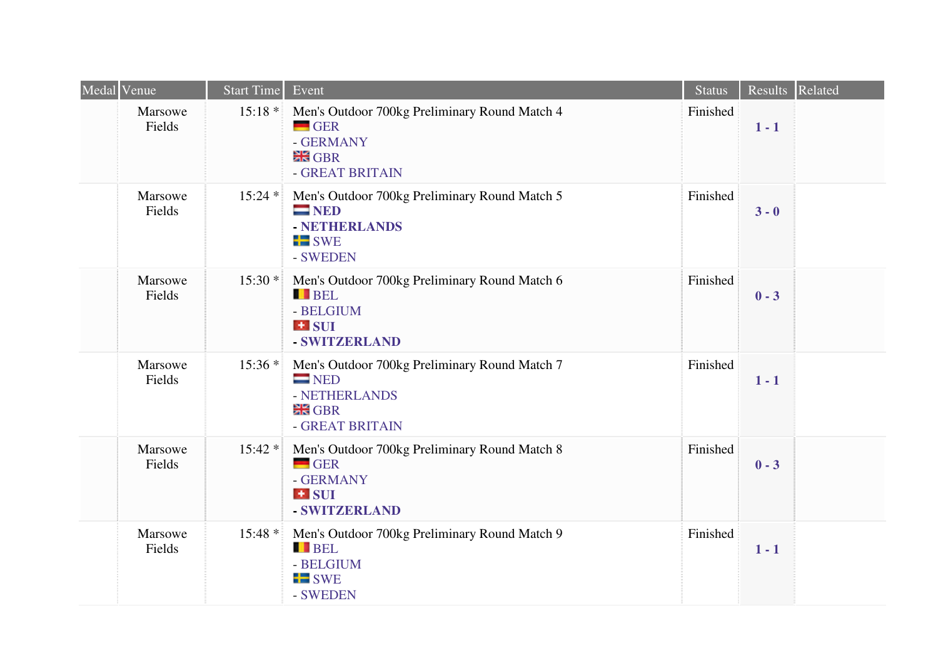| Medal Venue       | <b>Start Time</b> | Event                                                                                                                    | <b>Status</b> |         | Results Related |
|-------------------|-------------------|--------------------------------------------------------------------------------------------------------------------------|---------------|---------|-----------------|
| Marsowe<br>Fields | $15:18*$          | Men's Outdoor 700kg Preliminary Round Match 4<br>$\blacksquare$ GER<br>- GERMANY<br><b>HR</b> GBR<br>- GREAT BRITAIN     | Finished      | $1 - 1$ |                 |
| Marsowe<br>Fields | $15:24*$          | Men's Outdoor 700kg Preliminary Round Match 5<br>$\blacksquare$ NED<br>- NETHERLANDS<br>$\blacksquare$ SWE<br>- SWEDEN   | Finished      | $3 - 0$ |                 |
| Marsowe<br>Fields | $15:30*$          | Men's Outdoor 700kg Preliminary Round Match 6<br><b>BEL</b><br>- BELGIUM<br><b>E</b> SUI<br>- SWITZERLAND                | Finished      | $0 - 3$ |                 |
| Marsowe<br>Fields | $15:36*$          | Men's Outdoor 700kg Preliminary Round Match 7<br>$\blacksquare$ NED<br>- NETHERLANDS<br><b>HR</b> GBR<br>- GREAT BRITAIN | Finished      | $1 - 1$ |                 |
| Marsowe<br>Fields | $15:42*$          | Men's Outdoor 700kg Preliminary Round Match 8<br>$-$ GER<br>- GERMANY<br><b>H</b> SUI<br>- SWITZERLAND                   | Finished      | $0 - 3$ |                 |
| Marsowe<br>Fields | $15:48*$          | Men's Outdoor 700kg Preliminary Round Match 9<br><b>BEL</b><br>- BELGIUM<br>$\blacksquare$ SWE<br>- SWEDEN               | Finished      | $1 - 1$ |                 |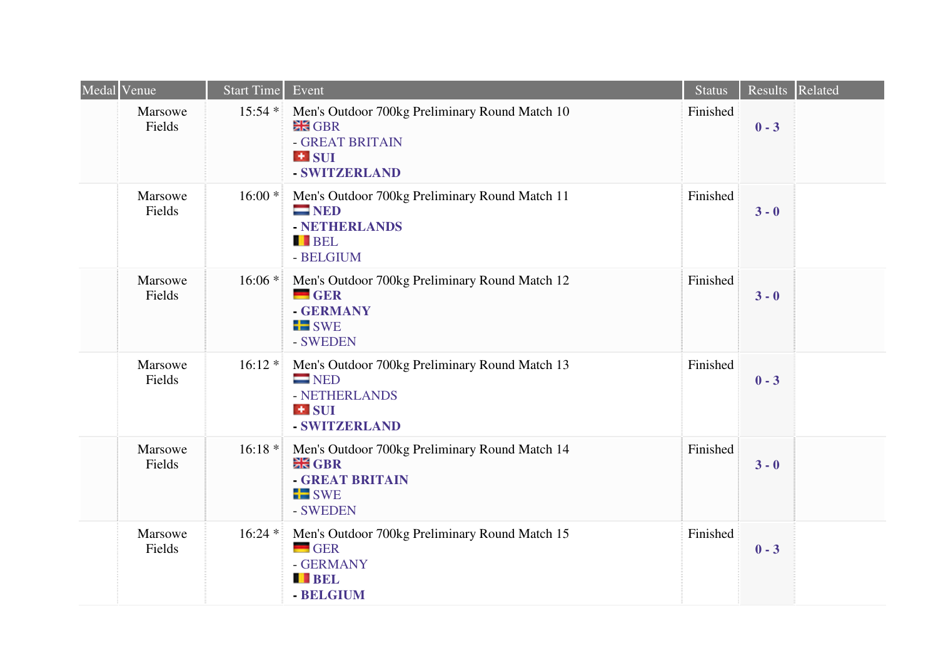| Medal Venue       | Start Time | Event                                                                                                                | <b>Status</b> | Results Related |  |
|-------------------|------------|----------------------------------------------------------------------------------------------------------------------|---------------|-----------------|--|
| Marsowe<br>Fields | $15:54$ *  | Men's Outdoor 700kg Preliminary Round Match 10<br><b>HR</b> GBR<br>- GREAT BRITAIN<br>$\pm$ SUI<br>- SWITZERLAND     | Finished      | $0 - 3$         |  |
| Marsowe<br>Fields | $16:00*$   | Men's Outdoor 700kg Preliminary Round Match 11<br>$\blacksquare$ NED<br>- NETHERLANDS<br><b>BEL</b><br>- BELGIUM     | Finished      | $3 - 0$         |  |
| Marsowe<br>Fields | $16:06*$   | Men's Outdoor 700kg Preliminary Round Match 12<br>$-$ GER<br>- GERMANY<br>$\blacksquare$ SWE<br>- SWEDEN             | Finished      | $3 - 0$         |  |
| Marsowe<br>Fields | $16:12*$   | Men's Outdoor 700kg Preliminary Round Match 13<br>$\blacksquare$ NED<br>- NETHERLANDS<br>$\pm$ SUI<br>- SWITZERLAND  | Finished      | $0 - 3$         |  |
| Marsowe<br>Fields | $16:18*$   | Men's Outdoor 700kg Preliminary Round Match 14<br><b>HE GBR</b><br>- GREAT BRITAIN<br>$\blacksquare$ SWE<br>- SWEDEN | Finished      | $3 - 0$         |  |
| Marsowe<br>Fields | $16:24*$   | Men's Outdoor 700kg Preliminary Round Match 15<br>$\blacksquare$ GER<br>- GERMANY<br><b>BEL</b><br>- BELGIUM         | Finished      | $0 - 3$         |  |